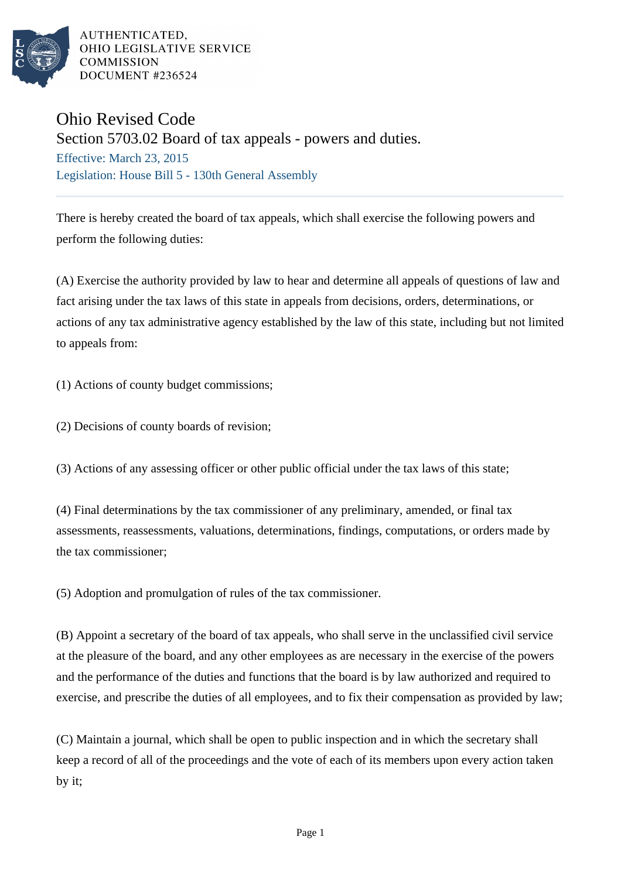

AUTHENTICATED. OHIO LEGISLATIVE SERVICE **COMMISSION** DOCUMENT #236524

## Ohio Revised Code

Section 5703.02 Board of tax appeals - powers and duties.

Effective: March 23, 2015 Legislation: House Bill 5 - 130th General Assembly

There is hereby created the board of tax appeals, which shall exercise the following powers and perform the following duties:

(A) Exercise the authority provided by law to hear and determine all appeals of questions of law and fact arising under the tax laws of this state in appeals from decisions, orders, determinations, or actions of any tax administrative agency established by the law of this state, including but not limited to appeals from:

(1) Actions of county budget commissions;

(2) Decisions of county boards of revision;

(3) Actions of any assessing officer or other public official under the tax laws of this state;

(4) Final determinations by the tax commissioner of any preliminary, amended, or final tax assessments, reassessments, valuations, determinations, findings, computations, or orders made by the tax commissioner;

(5) Adoption and promulgation of rules of the tax commissioner.

(B) Appoint a secretary of the board of tax appeals, who shall serve in the unclassified civil service at the pleasure of the board, and any other employees as are necessary in the exercise of the powers and the performance of the duties and functions that the board is by law authorized and required to exercise, and prescribe the duties of all employees, and to fix their compensation as provided by law;

(C) Maintain a journal, which shall be open to public inspection and in which the secretary shall keep a record of all of the proceedings and the vote of each of its members upon every action taken by it;